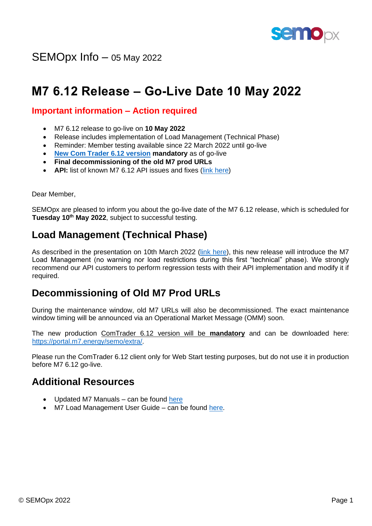

SEMOpx Info – 05 May 2022

# **M7 6.12 Release – Go-Live Date 10 May 2022**

#### **Important information – Action required**

- M7 6.12 release to go-live on **10 May 2022**
- Release includes implementation of Load Management (Technical Phase)
- Reminder: Member testing available since 22 March 2022 until go-live
- **[New Com Trader 6.12 version](https://portal.m7.energy/semo/extra/) mandatory** as of go-live
- **Final decommissioning of the old M7 prod URLs**
- **API:** list of known M7 6.12 API issues and fixes [\(link here\)](https://www.semopx.com/documents/general-publications/M7-6.12-List-of-Known-Issues-and-Fixes-04-May-2022.pdf)

Dear Member,

SEMOpx are pleased to inform you about the go-live date of the M7 6.12 release, which is scheduled for **Tuesday 10th May 2022**, subject to successful testing.

## **Load Management (Technical Phase)**

As described in the presentation on 10th March 2022 [\(link here\)](https://www.semopx.com/documents/general-publications/SEMOpx-M7-Load-Management-Presentation-10th-March-2022.pdf), this new release will introduce the M7 Load Management (no warning nor load restrictions during this first "technical" phase). We strongly recommend our API customers to perform regression tests with their API implementation and modify it if required.

## **Decommissioning of Old M7 Prod URLs**

During the maintenance window, old M7 URLs will also be decommissioned. The exact maintenance window timing will be announced via an Operational Market Message (OMM) soon.

The new production ComTrader 6.12 version will be **mandatory** and can be downloaded here: [https://portal.m7.energy/semo/extra/.](https://portal.m7.energy/semo/extra/)

Please run the ComTrader 6.12 client only for Web Start testing purposes, but do not use it in production before M7 6.12 go-live.

#### **Additional Resources**

- Updated M7 Manuals can be found [here](https://www.semopx.com/documents/general-publications/M7-Manuals-050522.zip)
- M7 Load Management User Guide can be found [here.](https://www.semopx.com/documents/general-publications/SEMOpx-M7-API-Load-Management-User-Guide.pdf)